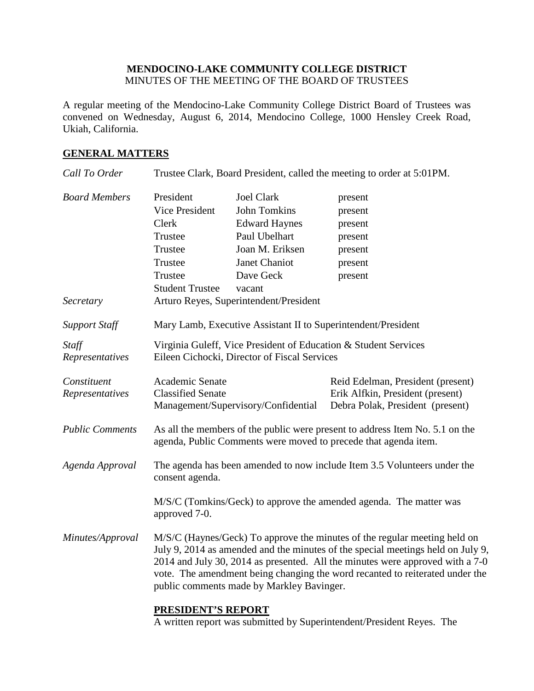### **MENDOCINO-LAKE COMMUNITY COLLEGE DISTRICT** MINUTES OF THE MEETING OF THE BOARD OF TRUSTEES

A regular meeting of the Mendocino-Lake Community College District Board of Trustees was convened on Wednesday, August 6, 2014, Mendocino College, 1000 Hensley Creek Road, Ukiah, California.

### **GENERAL MATTERS**

| Call To Order                     | Trustee Clark, Board President, called the meeting to order at 5:01PM.                                                                                                                                                                                                                                                                                                     |                                                                                                                                                                                        |                                                                                                           |  |
|-----------------------------------|----------------------------------------------------------------------------------------------------------------------------------------------------------------------------------------------------------------------------------------------------------------------------------------------------------------------------------------------------------------------------|----------------------------------------------------------------------------------------------------------------------------------------------------------------------------------------|-----------------------------------------------------------------------------------------------------------|--|
| <b>Board Members</b><br>Secretary | President<br><b>Vice President</b><br>Clerk<br>Trustee<br>Trustee<br>Trustee<br>Trustee<br><b>Student Trustee</b>                                                                                                                                                                                                                                                          | <b>Joel Clark</b><br><b>John Tomkins</b><br><b>Edward Haynes</b><br>Paul Ubelhart<br>Joan M. Eriksen<br>Janet Chaniot<br>Dave Geck<br>vacant<br>Arturo Reyes, Superintendent/President | present<br>present<br>present<br>present<br>present<br>present<br>present                                 |  |
| <b>Support Staff</b>              |                                                                                                                                                                                                                                                                                                                                                                            | Mary Lamb, Executive Assistant II to Superintendent/President                                                                                                                          |                                                                                                           |  |
| Staff<br>Representatives          | Virginia Guleff, Vice President of Education & Student Services<br>Eileen Cichocki, Director of Fiscal Services                                                                                                                                                                                                                                                            |                                                                                                                                                                                        |                                                                                                           |  |
| Constituent<br>Representatives    | Academic Senate<br><b>Classified Senate</b>                                                                                                                                                                                                                                                                                                                                | Management/Supervisory/Confidential                                                                                                                                                    | Reid Edelman, President (present)<br>Erik Alfkin, President (present)<br>Debra Polak, President (present) |  |
| <b>Public Comments</b>            | As all the members of the public were present to address Item No. 5.1 on the<br>agenda, Public Comments were moved to precede that agenda item.                                                                                                                                                                                                                            |                                                                                                                                                                                        |                                                                                                           |  |
| Agenda Approval                   | The agenda has been amended to now include Item 3.5 Volunteers under the<br>consent agenda.                                                                                                                                                                                                                                                                                |                                                                                                                                                                                        |                                                                                                           |  |
|                                   | M/S/C (Tomkins/Geck) to approve the amended agenda. The matter was<br>approved 7-0.                                                                                                                                                                                                                                                                                        |                                                                                                                                                                                        |                                                                                                           |  |
| Minutes/Approval                  | M/S/C (Haynes/Geck) To approve the minutes of the regular meeting held on<br>July 9, 2014 as amended and the minutes of the special meetings held on July 9,<br>2014 and July 30, 2014 as presented. All the minutes were approved with a 7-0<br>vote. The amendment being changing the word recanted to reiterated under the<br>public comments made by Markley Bavinger. |                                                                                                                                                                                        |                                                                                                           |  |
|                                   | PRESIDENT'S REPORT                                                                                                                                                                                                                                                                                                                                                         |                                                                                                                                                                                        |                                                                                                           |  |

A written report was submitted by Superintendent/President Reyes. The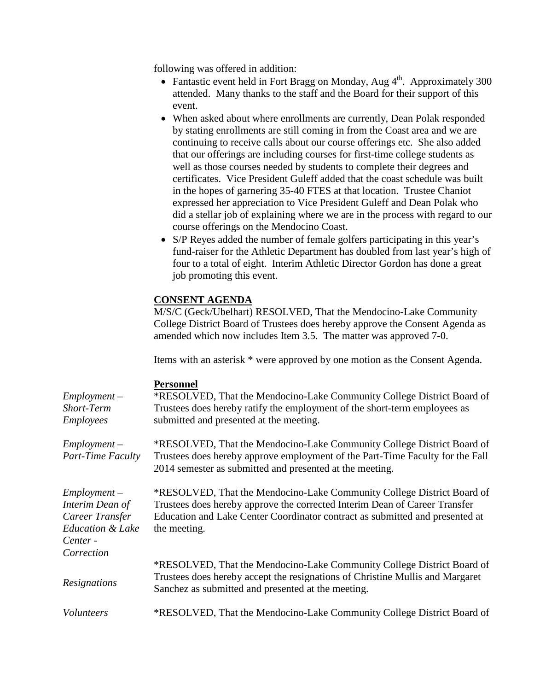following was offered in addition:

- Fantastic event held in Fort Bragg on Monday, Aug  $4<sup>th</sup>$ . Approximately 300 attended. Many thanks to the staff and the Board for their support of this event.
- When asked about where enrollments are currently, Dean Polak responded by stating enrollments are still coming in from the Coast area and we are continuing to receive calls about our course offerings etc. She also added that our offerings are including courses for first-time college students as well as those courses needed by students to complete their degrees and certificates. Vice President Guleff added that the coast schedule was built in the hopes of garnering 35-40 FTES at that location. Trustee Chaniot expressed her appreciation to Vice President Guleff and Dean Polak who did a stellar job of explaining where we are in the process with regard to our course offerings on the Mendocino Coast.
- S/P Reyes added the number of female golfers participating in this year's fund-raiser for the Athletic Department has doubled from last year's high of four to a total of eight. Interim Athletic Director Gordon has done a great job promoting this event.

### **CONSENT AGENDA**

M/S/C (Geck/Ubelhart) RESOLVED, That the Mendocino-Lake Community College District Board of Trustees does hereby approve the Consent Agenda as amended which now includes Item 3.5. The matter was approved 7-0.

Items with an asterisk \* were approved by one motion as the Consent Agenda.

#### **Personnel**

| $Employment -$<br>Short-Term<br>Employees                                                       | *RESOLVED, That the Mendocino-Lake Community College District Board of<br>Trustees does hereby ratify the employment of the short-term employees as<br>submitted and presented at the meeting.                                                       |
|-------------------------------------------------------------------------------------------------|------------------------------------------------------------------------------------------------------------------------------------------------------------------------------------------------------------------------------------------------------|
| $Employment -$<br><b>Part-Time Faculty</b>                                                      | *RESOLVED, That the Mendocino-Lake Community College District Board of<br>Trustees does hereby approve employment of the Part-Time Faculty for the Fall<br>2014 semester as submitted and presented at the meeting.                                  |
| $Employment -$<br>Interim Dean of<br>Career Transfer<br><b>Education &amp; Lake</b><br>Center - | *RESOLVED, That the Mendocino-Lake Community College District Board of<br>Trustees does hereby approve the corrected Interim Dean of Career Transfer<br>Education and Lake Center Coordinator contract as submitted and presented at<br>the meeting. |
| Correction<br>Resignations                                                                      | *RESOLVED, That the Mendocino-Lake Community College District Board of<br>Trustees does hereby accept the resignations of Christine Mullis and Margaret<br>Sanchez as submitted and presented at the meeting.                                        |
| <i>Volunteers</i>                                                                               | *RESOLVED, That the Mendocino-Lake Community College District Board of                                                                                                                                                                               |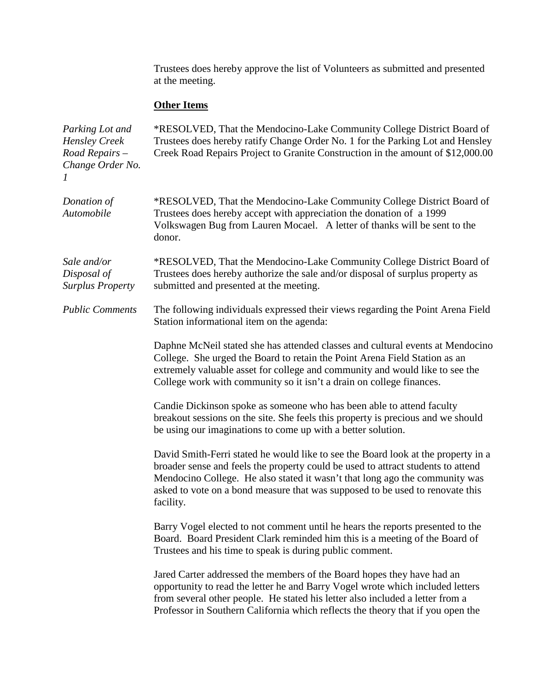Trustees does hereby approve the list of Volunteers as submitted and presented at the meeting.

# **Other Items**

| Parking Lot and<br><b>Hensley Creek</b><br>Road Repairs -<br>Change Order No.<br>1 | *RESOLVED, That the Mendocino-Lake Community College District Board of<br>Trustees does hereby ratify Change Order No. 1 for the Parking Lot and Hensley<br>Creek Road Repairs Project to Granite Construction in the amount of \$12,000.00                                                                                                        |  |
|------------------------------------------------------------------------------------|----------------------------------------------------------------------------------------------------------------------------------------------------------------------------------------------------------------------------------------------------------------------------------------------------------------------------------------------------|--|
| Donation of<br>Automobile                                                          | *RESOLVED, That the Mendocino-Lake Community College District Board of<br>Trustees does hereby accept with appreciation the donation of a 1999<br>Volkswagen Bug from Lauren Mocael. A letter of thanks will be sent to the<br>donor.                                                                                                              |  |
| Sale and/or<br>Disposal of<br><b>Surplus Property</b>                              | *RESOLVED, That the Mendocino-Lake Community College District Board of<br>Trustees does hereby authorize the sale and/or disposal of surplus property as<br>submitted and presented at the meeting.                                                                                                                                                |  |
| <b>Public Comments</b>                                                             | The following individuals expressed their views regarding the Point Arena Field<br>Station informational item on the agenda:                                                                                                                                                                                                                       |  |
|                                                                                    | Daphne McNeil stated she has attended classes and cultural events at Mendocino<br>College. She urged the Board to retain the Point Arena Field Station as an<br>extremely valuable asset for college and community and would like to see the<br>College work with community so it isn't a drain on college finances.                               |  |
|                                                                                    | Candie Dickinson spoke as someone who has been able to attend faculty<br>breakout sessions on the site. She feels this property is precious and we should<br>be using our imaginations to come up with a better solution.                                                                                                                          |  |
|                                                                                    | David Smith-Ferri stated he would like to see the Board look at the property in a<br>broader sense and feels the property could be used to attract students to attend<br>Mendocino College. He also stated it wasn't that long ago the community was<br>asked to vote on a bond measure that was supposed to be used to renovate this<br>facility. |  |
|                                                                                    | Barry Vogel elected to not comment until he hears the reports presented to the<br>Board. Board President Clark reminded him this is a meeting of the Board of<br>Trustees and his time to speak is during public comment.                                                                                                                          |  |
|                                                                                    | Jared Carter addressed the members of the Board hopes they have had an<br>opportunity to read the letter he and Barry Vogel wrote which included letters<br>from several other people. He stated his letter also included a letter from a<br>Professor in Southern California which reflects the theory that if you open the                       |  |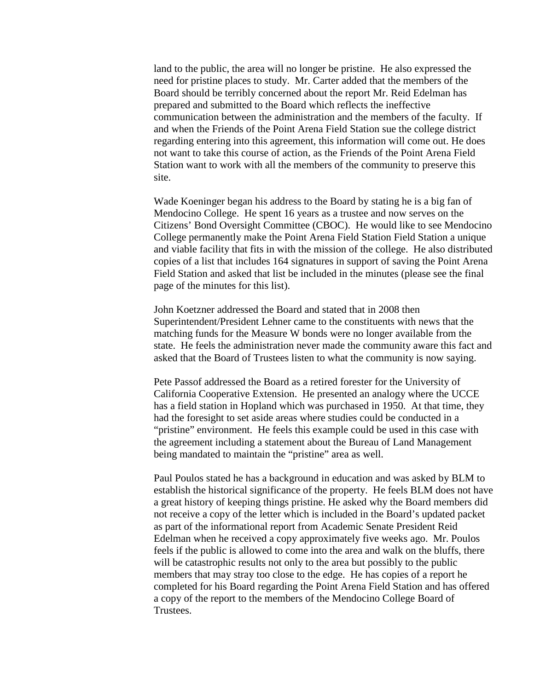land to the public, the area will no longer be pristine. He also expressed the need for pristine places to study. Mr. Carter added that the members of the Board should be terribly concerned about the report Mr. Reid Edelman has prepared and submitted to the Board which reflects the ineffective communication between the administration and the members of the faculty. If and when the Friends of the Point Arena Field Station sue the college district regarding entering into this agreement, this information will come out. He does not want to take this course of action, as the Friends of the Point Arena Field Station want to work with all the members of the community to preserve this site.

Wade Koeninger began his address to the Board by stating he is a big fan of Mendocino College. He spent 16 years as a trustee and now serves on the Citizens' Bond Oversight Committee (CBOC). He would like to see Mendocino College permanently make the Point Arena Field Station Field Station a unique and viable facility that fits in with the mission of the college. He also distributed copies of a list that includes 164 signatures in support of saving the Point Arena Field Station and asked that list be included in the minutes (please see the final page of the minutes for this list).

John Koetzner addressed the Board and stated that in 2008 then Superintendent/President Lehner came to the constituents with news that the matching funds for the Measure W bonds were no longer available from the state. He feels the administration never made the community aware this fact and asked that the Board of Trustees listen to what the community is now saying.

Pete Passof addressed the Board as a retired forester for the University of California Cooperative Extension. He presented an analogy where the UCCE has a field station in Hopland which was purchased in 1950. At that time, they had the foresight to set aside areas where studies could be conducted in a "pristine" environment. He feels this example could be used in this case with the agreement including a statement about the Bureau of Land Management being mandated to maintain the "pristine" area as well.

Paul Poulos stated he has a background in education and was asked by BLM to establish the historical significance of the property. He feels BLM does not have a great history of keeping things pristine. He asked why the Board members did not receive a copy of the letter which is included in the Board's updated packet as part of the informational report from Academic Senate President Reid Edelman when he received a copy approximately five weeks ago. Mr. Poulos feels if the public is allowed to come into the area and walk on the bluffs, there will be catastrophic results not only to the area but possibly to the public members that may stray too close to the edge. He has copies of a report he completed for his Board regarding the Point Arena Field Station and has offered a copy of the report to the members of the Mendocino College Board of Trustees.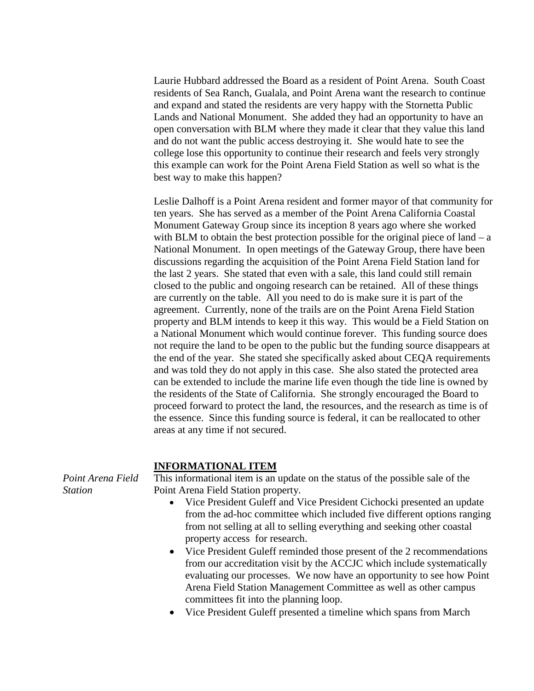Laurie Hubbard addressed the Board as a resident of Point Arena. South Coast residents of Sea Ranch, Gualala, and Point Arena want the research to continue and expand and stated the residents are very happy with the Stornetta Public Lands and National Monument. She added they had an opportunity to have an open conversation with BLM where they made it clear that they value this land and do not want the public access destroying it. She would hate to see the college lose this opportunity to continue their research and feels very strongly this example can work for the Point Arena Field Station as well so what is the best way to make this happen?

Leslie Dalhoff is a Point Arena resident and former mayor of that community for ten years. She has served as a member of the Point Arena California Coastal Monument Gateway Group since its inception 8 years ago where she worked with BLM to obtain the best protection possible for the original piece of land  $-$  a National Monument. In open meetings of the Gateway Group, there have been discussions regarding the acquisition of the Point Arena Field Station land for the last 2 years. She stated that even with a sale, this land could still remain closed to the public and ongoing research can be retained. All of these things are currently on the table. All you need to do is make sure it is part of the agreement. Currently, none of the trails are on the Point Arena Field Station property and BLM intends to keep it this way. This would be a Field Station on a National Monument which would continue forever. This funding source does not require the land to be open to the public but the funding source disappears at the end of the year. She stated she specifically asked about CEQA requirements and was told they do not apply in this case. She also stated the protected area can be extended to include the marine life even though the tide line is owned by the residents of the State of California. She strongly encouraged the Board to proceed forward to protect the land, the resources, and the research as time is of the essence. Since this funding source is federal, it can be reallocated to other areas at any time if not secured.

#### **INFORMATIONAL ITEM**

*Point Arena Field Station*

This informational item is an update on the status of the possible sale of the Point Arena Field Station property.

- Vice President Guleff and Vice President Cichocki presented an update from the ad-hoc committee which included five different options ranging from not selling at all to selling everything and seeking other coastal property access for research.
- Vice President Guleff reminded those present of the 2 recommendations from our accreditation visit by the ACCJC which include systematically evaluating our processes. We now have an opportunity to see how Point Arena Field Station Management Committee as well as other campus committees fit into the planning loop.
- Vice President Guleff presented a timeline which spans from March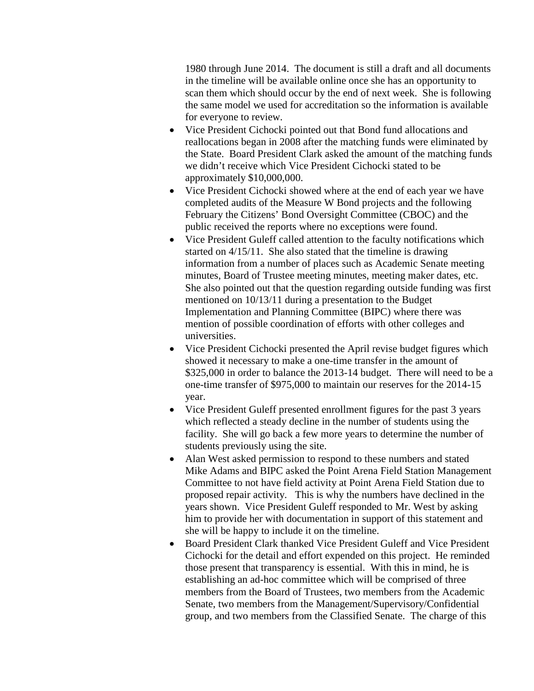1980 through June 2014. The document is still a draft and all documents in the timeline will be available online once she has an opportunity to scan them which should occur by the end of next week. She is following the same model we used for accreditation so the information is available for everyone to review.

- Vice President Cichocki pointed out that Bond fund allocations and reallocations began in 2008 after the matching funds were eliminated by the State. Board President Clark asked the amount of the matching funds we didn't receive which Vice President Cichocki stated to be approximately \$10,000,000.
- Vice President Cichocki showed where at the end of each year we have completed audits of the Measure W Bond projects and the following February the Citizens' Bond Oversight Committee (CBOC) and the public received the reports where no exceptions were found.
- Vice President Guleff called attention to the faculty notifications which started on 4/15/11. She also stated that the timeline is drawing information from a number of places such as Academic Senate meeting minutes, Board of Trustee meeting minutes, meeting maker dates, etc. She also pointed out that the question regarding outside funding was first mentioned on 10/13/11 during a presentation to the Budget Implementation and Planning Committee (BIPC) where there was mention of possible coordination of efforts with other colleges and universities.
- Vice President Cichocki presented the April revise budget figures which showed it necessary to make a one-time transfer in the amount of \$325,000 in order to balance the 2013-14 budget. There will need to be a one-time transfer of \$975,000 to maintain our reserves for the 2014-15 year.
- Vice President Guleff presented enrollment figures for the past 3 years which reflected a steady decline in the number of students using the facility. She will go back a few more years to determine the number of students previously using the site.
- Alan West asked permission to respond to these numbers and stated Mike Adams and BIPC asked the Point Arena Field Station Management Committee to not have field activity at Point Arena Field Station due to proposed repair activity. This is why the numbers have declined in the years shown. Vice President Guleff responded to Mr. West by asking him to provide her with documentation in support of this statement and she will be happy to include it on the timeline.
- Board President Clark thanked Vice President Guleff and Vice President Cichocki for the detail and effort expended on this project. He reminded those present that transparency is essential. With this in mind, he is establishing an ad-hoc committee which will be comprised of three members from the Board of Trustees, two members from the Academic Senate, two members from the Management/Supervisory/Confidential group, and two members from the Classified Senate. The charge of this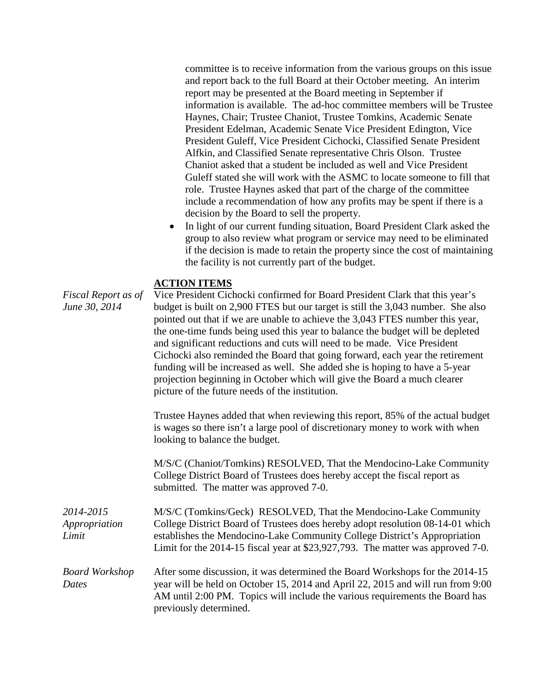committee is to receive information from the various groups on this issue and report back to the full Board at their October meeting. An interim report may be presented at the Board meeting in September if information is available. The ad-hoc committee members will be Trustee Haynes, Chair; Trustee Chaniot, Trustee Tomkins, Academic Senate President Edelman, Academic Senate Vice President Edington, Vice President Guleff, Vice President Cichocki, Classified Senate President Alfkin, and Classified Senate representative Chris Olson. Trustee Chaniot asked that a student be included as well and Vice President Guleff stated she will work with the ASMC to locate someone to fill that role. Trustee Haynes asked that part of the charge of the committee include a recommendation of how any profits may be spent if there is a decision by the Board to sell the property.

In light of our current funding situation, Board President Clark asked the group to also review what program or service may need to be eliminated if the decision is made to retain the property since the cost of maintaining the facility is not currently part of the budget.

### **ACTION ITEMS**

*Fiscal Report as of June 30, 2014* Vice President Cichocki confirmed for Board President Clark that this year's budget is built on 2,900 FTES but our target is still the 3,043 number. She also pointed out that if we are unable to achieve the 3,043 FTES number this year, the one-time funds being used this year to balance the budget will be depleted and significant reductions and cuts will need to be made. Vice President Cichocki also reminded the Board that going forward, each year the retirement funding will be increased as well. She added she is hoping to have a 5-year projection beginning in October which will give the Board a much clearer picture of the future needs of the institution. Trustee Haynes added that when reviewing this report, 85% of the actual budget is wages so there isn't a large pool of discretionary money to work with when looking to balance the budget. M/S/C (Chaniot/Tomkins) RESOLVED, That the Mendocino-Lake Community College District Board of Trustees does hereby accept the fiscal report as submitted. The matter was approved 7-0. *2014-2015 Appropriation Limit* M/S/C (Tomkins/Geck) RESOLVED, That the Mendocino-Lake Community College District Board of Trustees does hereby adopt resolution 08-14-01 which establishes the Mendocino-Lake Community College District's Appropriation Limit for the 2014-15 fiscal year at \$23,927,793. The matter was approved 7-0. *Board Workshop Dates* After some discussion, it was determined the Board Workshops for the 2014-15 year will be held on October 15, 2014 and April 22, 2015 and will run from 9:00 AM until 2:00 PM. Topics will include the various requirements the Board has previously determined.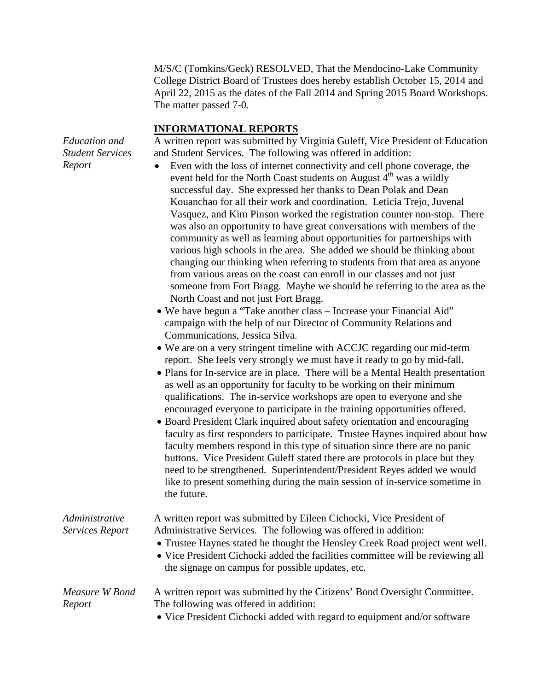M/S/C (Tomkins/Geck) RESOLVED, That the Mendocino-Lake Community College District Board of Trustees does hereby establish October 15, 2014 and April 22, 2015 as the dates of the Fall 2014 and Spring 2015 Board Workshops. The matter passed 7-0.

#### **INFORMATIONAL REPORTS**

A written report was submitted by Virginia Guleff, Vice President of Education and Student Services. The following was offered in addition:

- Even with the loss of internet connectivity and cell phone coverage, the event held for the North Coast students on August  $4<sup>th</sup>$  was a wildly successful day. She expressed her thanks to Dean Polak and Dean Kouanchao for all their work and coordination. Leticia Trejo, Juvenal Vasquez, and Kim Pinson worked the registration counter non-stop. There was also an opportunity to have great conversations with members of the community as well as learning about opportunities for partnerships with various high schools in the area. She added we should be thinking about changing our thinking when referring to students from that area as anyone from various areas on the coast can enroll in our classes and not just someone from Fort Bragg. Maybe we should be referring to the area as the North Coast and not just Fort Bragg.
- We have begun a "Take another class Increase your Financial Aid" campaign with the help of our Director of Community Relations and Communications, Jessica Silva.
- We are on a very stringent timeline with ACCJC regarding our mid-term report. She feels very strongly we must have it ready to go by mid-fall.
- Plans for In-service are in place. There will be a Mental Health presentation as well as an opportunity for faculty to be working on their minimum qualifications. The in-service workshops are open to everyone and she encouraged everyone to participate in the training opportunities offered.
- Board President Clark inquired about safety orientation and encouraging faculty as first responders to participate. Trustee Haynes inquired about how faculty members respond in this type of situation since there are no panic buttons. Vice President Guleff stated there are protocols in place but they need to be strengthened. Superintendent/President Reyes added we would like to present something during the main session of in-service sometime in the future.

| Administrative<br>Services Report | A written report was submitted by Eileen Cichocki, Vice President of<br>Administrative Services. The following was offered in addition:<br>• Trustee Haynes stated he thought the Hensley Creek Road project went well.<br>• Vice President Cichocki added the facilities committee will be reviewing all<br>the signage on campus for possible updates, etc. |
|-----------------------------------|---------------------------------------------------------------------------------------------------------------------------------------------------------------------------------------------------------------------------------------------------------------------------------------------------------------------------------------------------------------|
| Measure W Bond<br>Report          | A written report was submitted by the Citizens' Bond Oversight Committee.<br>The following was offered in addition:<br>• Vice President Cichocki added with regard to equipment and/or software                                                                                                                                                               |

*Education and Student Services Report*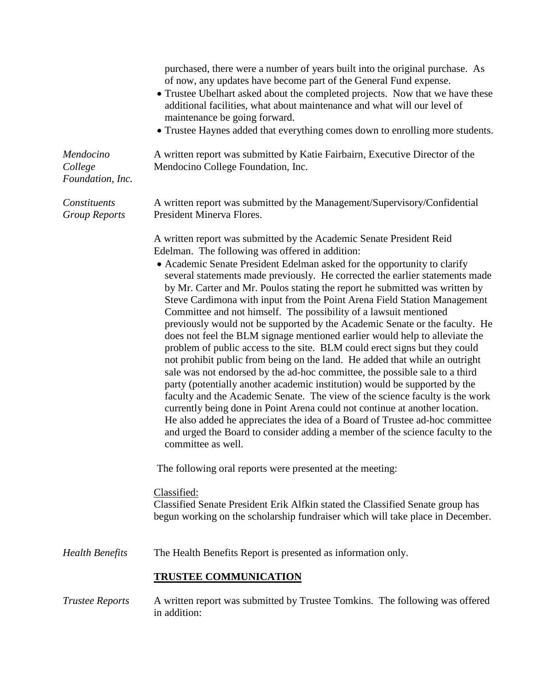|                                          | purchased, there were a number of years built into the original purchase. As<br>of now, any updates have become part of the General Fund expense.<br>• Trustee Ubelhart asked about the completed projects. Now that we have these<br>additional facilities, what about maintenance and what will our level of<br>maintenance be going forward.<br>• Trustee Haynes added that everything comes down to enrolling more students.                                                                                                                                                                                                                                                                                                                                                                                                                                                                                                                                                                                                                                                                                                                                                                                                                                                                                                                                                                                               |
|------------------------------------------|--------------------------------------------------------------------------------------------------------------------------------------------------------------------------------------------------------------------------------------------------------------------------------------------------------------------------------------------------------------------------------------------------------------------------------------------------------------------------------------------------------------------------------------------------------------------------------------------------------------------------------------------------------------------------------------------------------------------------------------------------------------------------------------------------------------------------------------------------------------------------------------------------------------------------------------------------------------------------------------------------------------------------------------------------------------------------------------------------------------------------------------------------------------------------------------------------------------------------------------------------------------------------------------------------------------------------------------------------------------------------------------------------------------------------------|
| Mendocino<br>College<br>Foundation, Inc. | A written report was submitted by Katie Fairbairn, Executive Director of the<br>Mendocino College Foundation, Inc.                                                                                                                                                                                                                                                                                                                                                                                                                                                                                                                                                                                                                                                                                                                                                                                                                                                                                                                                                                                                                                                                                                                                                                                                                                                                                                             |
| Constituents<br><b>Group Reports</b>     | A written report was submitted by the Management/Supervisory/Confidential<br>President Minerva Flores.                                                                                                                                                                                                                                                                                                                                                                                                                                                                                                                                                                                                                                                                                                                                                                                                                                                                                                                                                                                                                                                                                                                                                                                                                                                                                                                         |
|                                          | A written report was submitted by the Academic Senate President Reid<br>Edelman. The following was offered in addition:<br>• Academic Senate President Edelman asked for the opportunity to clarify<br>several statements made previously. He corrected the earlier statements made<br>by Mr. Carter and Mr. Poulos stating the report he submitted was written by<br>Steve Cardimona with input from the Point Arena Field Station Management<br>Committee and not himself. The possibility of a lawsuit mentioned<br>previously would not be supported by the Academic Senate or the faculty. He<br>does not feel the BLM signage mentioned earlier would help to alleviate the<br>problem of public access to the site. BLM could erect signs but they could<br>not prohibit public from being on the land. He added that while an outright<br>sale was not endorsed by the ad-hoc committee, the possible sale to a third<br>party (potentially another academic institution) would be supported by the<br>faculty and the Academic Senate. The view of the science faculty is the work<br>currently being done in Point Arena could not continue at another location.<br>He also added he appreciates the idea of a Board of Trustee ad-hoc committee<br>and urged the Board to consider adding a member of the science faculty to the<br>committee as well.<br>The following oral reports were presented at the meeting: |
|                                          | Classified:<br>Classified Senate President Erik Alfkin stated the Classified Senate group has<br>begun working on the scholarship fundraiser which will take place in December.                                                                                                                                                                                                                                                                                                                                                                                                                                                                                                                                                                                                                                                                                                                                                                                                                                                                                                                                                                                                                                                                                                                                                                                                                                                |
| <b>Health Benefits</b>                   | The Health Benefits Report is presented as information only.                                                                                                                                                                                                                                                                                                                                                                                                                                                                                                                                                                                                                                                                                                                                                                                                                                                                                                                                                                                                                                                                                                                                                                                                                                                                                                                                                                   |
|                                          | <b>TRUSTEE COMMUNICATION</b>                                                                                                                                                                                                                                                                                                                                                                                                                                                                                                                                                                                                                                                                                                                                                                                                                                                                                                                                                                                                                                                                                                                                                                                                                                                                                                                                                                                                   |
| <b>Trustee Reports</b>                   | A written report was submitted by Trustee Tomkins. The following was offered<br>in addition:                                                                                                                                                                                                                                                                                                                                                                                                                                                                                                                                                                                                                                                                                                                                                                                                                                                                                                                                                                                                                                                                                                                                                                                                                                                                                                                                   |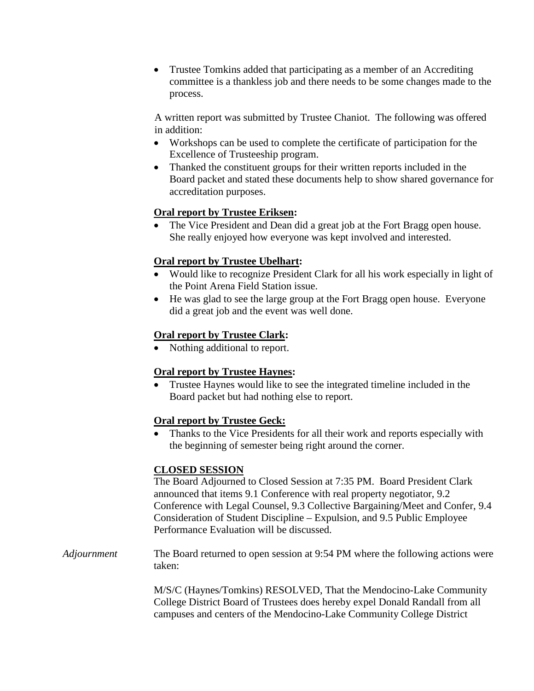• Trustee Tomkins added that participating as a member of an Accrediting committee is a thankless job and there needs to be some changes made to the process.

A written report was submitted by Trustee Chaniot. The following was offered in addition:

- Workshops can be used to complete the certificate of participation for the Excellence of Trusteeship program.
- Thanked the constituent groups for their written reports included in the Board packet and stated these documents help to show shared governance for accreditation purposes.

# **Oral report by Trustee Eriksen:**

• The Vice President and Dean did a great job at the Fort Bragg open house. She really enjoyed how everyone was kept involved and interested.

# **Oral report by Trustee Ubelhart:**

- Would like to recognize President Clark for all his work especially in light of the Point Arena Field Station issue.
- He was glad to see the large group at the Fort Bragg open house. Everyone did a great job and the event was well done.

# **Oral report by Trustee Clark:**

Nothing additional to report.

# **Oral report by Trustee Haynes:**

• Trustee Haynes would like to see the integrated timeline included in the Board packet but had nothing else to report.

# **Oral report by Trustee Geck:**

• Thanks to the Vice Presidents for all their work and reports especially with the beginning of semester being right around the corner.

# **CLOSED SESSION**

The Board Adjourned to Closed Session at 7:35 PM. Board President Clark announced that items 9.1 Conference with real property negotiator, 9.2 Conference with Legal Counsel, 9.3 Collective Bargaining/Meet and Confer, 9.4 Consideration of Student Discipline – Expulsion, and 9.5 Public Employee Performance Evaluation will be discussed.

*Adjournment* The Board returned to open session at 9:54 PM where the following actions were taken:

> M/S/C (Haynes/Tomkins) RESOLVED, That the Mendocino-Lake Community College District Board of Trustees does hereby expel Donald Randall from all campuses and centers of the Mendocino-Lake Community College District